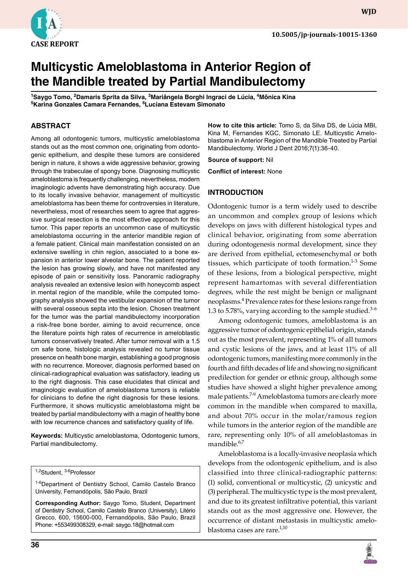

# **Multicystic Ameloblastoma in Anterior Region of the Mandible treated by Partial Mandibulectomy**

**<sup>1</sup>Saygo Tomo, 2Damaris Sprita da Silva, 3Mariângela Borghi Ingraci de Lúcia, 4Mônica Kina <sup>5</sup>Karina Gonzales Camara Fernandes, 6Luciana Estevam Simonato**

#### **ABSTRACT**

Among all odontogenic tumors, multicystic ameloblastoma stands out as the most common one, originating from odontogenic epithelium, and despite these tumors are considered benign in nature, it shows a wide aggressive behavior, growing through the trabeculae of spongy bone. Diagnosing multicystic ameloblastoma is frequently challenging, nevertheless, modern imaginologic advents have demonstrating high accuracy. Due to its locally invasive behavior, management of multicystic ameloblastoma has been theme for controversies in literature, nevertheless, most of researches seem to agree that aggressive surgical resection is the most effective approach for this tumor. This paper reports an uncommon case of multicystic ameloblastoma occurring in the anterior mandible region of a female patient. Clinical main manifestation consisted on an extensive swelling in chin region, associated to a bone expansion in anterior lower alveolar bone. The patient reported the lesion has growing slowly, and have not manifested any episode of pain or sensitivity loss. Panoramic radiography analysis revealed an extensive lesion with honeycomb aspect in mental region of the mandible, while the computed tomography analysis showed the vestibular expansion of the tumor with several osseous septa into the lesion. Chosen treatment for the tumor was the partial mandibulectomy incorporation a risk-free bone border, aiming to avoid recurrence, once the literature points high rates of recurrence in ameloblastic tumors conservatively treated. After tumor removal with a 1.5 cm safe bone, histologic analysis revealed no tumor tissue presence on health bone margin, establishing a good prognosis with no recurrence. Moreover, diagnosis performed based on clinical-radiographical evaluation was satisfactory, leading us to the right diagnosis. This case elucidates that clinical and imaginologic evaluation of ameloblastoma tumors is reliable for clinicians to define the right diagnosis for these lesions. Furthermore, it shows multicystic ameloblastoma might be treated by partial mandibulectomy with a magin of healthy bone with low recurrence chances and satisfactory quality of life.

**Keywords:** Multicystic ameloblastoma, Odontogenic tumors, Partial mandibulectomy.

#### 1,2Student, <sup>3-6</sup>Professor

<sup>1-6</sup>Department of Dentistry School, Camilo Castelo Branco University, Fernandópolis, São Paulo, Brazil

**Corresponding Author:** Saygo Tomo, Student, Department of Dentistry School, Camilo Castelo Branco (University), Litério Grecco, 600, 15600-000, Fernandópolis, São Paulo, Brazil Phone: +553499308329, email: saygo.18@hotmail.com

**Source of support:** Nil **Conflict of interest:** None **INTRODUCTION**

Odontogenic tumor is a term widely used to describe an uncommon and complex group of lesions which develops on jaws with different histological types and clinical behavior, originating from some aberration during odontogenesis normal development, since they are derived from epithelial, ectomesenchymal or both tissues, which participate of tooth formation. $1-3$  Some of these lesions, from a biological perspective, might represent hamartomas with several differentiation degrees, while the rest might be benign or malignant neoplasms.<sup>4</sup> Prevalence rates for these lesions range from 1.3 to 5.78%, varying according to the sample studied. $3-6$ 

**How to cite this article:** Tomo S, da Silva DS, de Lúcia MBI, Kina M, Fernandes KGC, Simonato LE. Multicystic Ameloblastoma in Anterior Region of the Mandible Treated by Partial

Mandibulectomy. World J Dent 2016;7(1):36-40.

Among odontogenic tumors, ameloblastoma is an aggressive tumor of odontogenic epithelial origin, stands out as the most prevalent, representing 1% of all tumors and cystic lesions of the jaws, and at least 11% of all odontogenic tumors, manifesting more commonly in the fourth and fifth decades of life and showing no significant predilection for gender or ethnic group, although some studies have showed a slight higher prevalence among male patients.<sup>7-9</sup> Ameloblastoma tumors are clearly more common in the mandible when compared to maxilla, and about 70% occur in the molar/ramous region while tumors in the anterior region of the mandible are rare, representing only 10% of all ameloblastomas in mandible.<sup>6,7</sup>

Ameloblastoma is a locally-invasive neoplasia which develops from the odontogenic epithelium, and is also classified into three clinical-radiographic patterns: (1) solid, conventional or multicystic, (2) unicystic and (3) peripheral. The multicystic type is the most prevalent, and due to its greatest infiltrative potential, this variant stands out as the most aggressive one. However, the occurrence of distant metastasis in multicystic ameloblastoma cases are rare.<sup>1,10</sup>

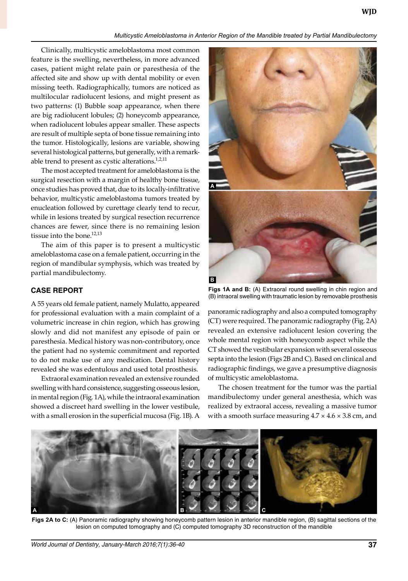*Multicystic Ameloblastoma in Anterior Region of the Mandible treated by Partial Mandibulectomy*

Clinically, multicystic ameloblastoma most common feature is the swelling, nevertheless, in more advanced cases, patient might relate pain or paresthesia of the affected site and show up with dental mobility or even missing teeth. Radiographically, tumors are noticed as multilocular radiolucent lesions, and might present as two patterns: (1) Bubble soap appearance, when there are big radiolucent lobules; (2) honeycomb appearance, when radiolucent lobules appear smaller. These aspects are result of multiple septa of bone tissue remaining into the tumor. Histologically, lesions are variable, showing several histological patterns, but generally, with a remarkable trend to present as cystic alterations. $1,2,11$ 

The most accepted treatment for ameloblastoma is the surgical resection with a margin of healthy bone tissue, once studies has proved that, due to its locally-infiltrative behavior, multicystic ameloblastoma tumors treated by enucleation followed by curettage clearly tend to recur, while in lesions treated by surgical resection recurrence chances are fewer, since there is no remaining lesion tissue into the bone.<sup>12,13</sup>

The aim of this paper is to present a multicystic ameloblastoma case on a female patient, occurring in the region of mandibular symphysis, which was treated by partial mandibulectomy.

## **CASE REPORT**

A 55 years old female patient, namely Mulatto, appeared for professional evaluation with a main complaint of a volumetric increase in chin region, which has growing slowly and did not manifest any episode of pain or paresthesia. Medical history was non-contributory, once the patient had no systemic commitment and reported to do not make use of any medication. Dental history revealed she was edentulous and used total prosthesis.

Extraoral examination revealed an extensive rounded swelling with hard consistence, suggesting osseous lesion, in mental region (Fig. 1A), while the intraoral examination showed a discreet hard swelling in the lower vestibule, with a small erosion in the superficial mucosa (Fig. 1B). A



**Figs 1A and B:** (A) Extraoral round swelling in chin region and (B) intraoral swelling with traumatic lesion by removable prosthesis

panoramic radiography and also a computed tomography (CT) were required. The panoramic radiography (Fig. 2A) revealed an extensive radiolucent lesion covering the whole mental region with honeycomb aspect while the CT showed the vestibular expansion with several osseous septa into the lesion (Figs 2B and C). Based on clinical and radiographic findings, we gave a presumptive diagnosis of multicystic ameloblastoma.

The chosen treatment for the tumor was the partial mandibulectomy under general anesthesia, which was realized by extraoral access, revealing a massive tumor with a smooth surface measuring  $4.7 \times 4.6 \times 3.8$  cm, and



Figs 2A to C: (A) Panoramic radiography showing honeycomb pattern lesion in anterior mandible region, (B) sagittal sections of the lesion on computed tomography and (C) computed tomography 3D reconstruction of the mandible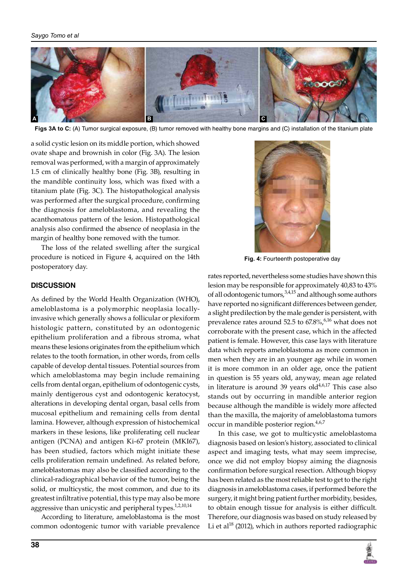

**Figs 3A to C:** (A) Tumor surgical exposure, (B) tumor removed with healthy bone margins and (C) installation of the titanium plate

a solid cystic lesion on its middle portion, which showed ovate shape and brownish in color (Fig. 3A). The lesion removal was performed, with a margin of approximately 1.5 cm of clinically healthy bone (Fig. 3B), resulting in the mandible continuity loss, which was fixed with a titanium plate (Fig. 3C). The histopathological analysis was performed after the surgical procedure, confirming the diagnosis for ameloblastoma, and revealing the acanthomatous pattern of the lesion. Histopathological analysis also confirmed the absence of neoplasia in the margin of healthy bone removed with the tumor.

The loss of the related swelling after the surgical procedure is noticed in Figure 4, acquired on the 14th postoperatory day.

#### **DISCUSSION**

As defined by the World Health Organization (WHO), ameloblastoma is a polymorphic neoplasia locallyinvasive which generally shows a follicular or plexiform histologic pattern, constituted by an odontogenic epithelium proliferation and a fibrous stroma, what means these lesions originates from the epithelium which relates to the tooth formation, in other words, from cells capable of develop dental tissues. Potential sources from which ameloblastoma may begin include remaining cells from dental organ, epithelium of odontogenic cysts, mainly dentigerous cyst and odontogenic keratocyst, alterations in developing dental organ, basal cells from mucosal epithelium and remaining cells from dental lamina. However, although expression of histochemical markers in these lesions, like proliferating cell nuclear antigen (PCNA) and antigen Ki-67 protein (MKI67), has been studied, factors which might initiate these cells proliferation remain undefined. As related before, ameloblastomas may also be classified according to the clinical-radiographical behavior of the tumor, being the solid, or multicystic, the most common, and due to its greatest infiltrative potential, this type may also be more aggressive than unicystic and peripheral types.<sup>1,2,10,14</sup>

According to literature, ameloblastoma is the most common odontogenic tumor with variable prevalence



**Fig. 4:** Fourteenth postoperative day

rates reported, nevertheless some studies have shown this lesion may be responsible for approximately 40,83 to 43% of all odontogenic tumors,<sup>3,4,15</sup> and although some authors have reported no significant differences between gender, a slight predilection by the male gender is persistent, with prevalence rates around 52.5 to  $67.8\%$ ,  $6.16$  what does not corroborate with the present case, which in the affected patient is female. However, this case lays with literature data which reports ameloblastoma as more common in men when they are in an younger age while in women it is more common in an older age, once the patient in question is 55 years old, anyway, mean age related in literature is around 39 years  $old<sup>4,6,17</sup>$  This case also stands out by occurring in mandible anterior region because although the mandible is widely more affected than the maxilla, the majority of ameloblastoma tumors occur in mandible posterior region.<sup>4,6,7</sup>

In this case, we got to multicystic ameloblastoma diagnosis based on lesion's history, associated to clinical aspect and imaging tests, what may seem imprecise, once we did not employ biopsy aiming the diagnosis confirmation before surgical resection. Although biopsy has been related as the most reliable test to get to the right diagnosis in ameloblastoma cases, if performed before the surgery, it might bring patient further morbidity, besides, to obtain enough tissue for analysis is either difficult. Therefore, our diagnosis was based on study released by Li et al<sup>18</sup> (2012), which in authors reported radiographic

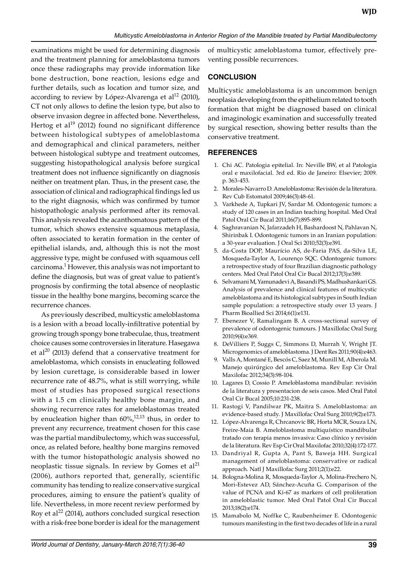examinations might be used for determining diagnosis and the treatment planning for ameloblastoma tumors once these radiographs may provide information like bone destruction, bone reaction, lesions edge and further details, such as location and tumor size, and according to review by López-Alvarenga et al<sup>12</sup> (2010), CT not only allows to define the lesion type, but also to observe invasion degree in affected bone. Nevertheless, Hertog et al $1<sup>19</sup>$  (2012) found no significant difference between histological subtypes of ameloblastoma and demographical and clinical parameters, neither between histological subtype and treatment outcomes, suggesting histopathological analysis before surgical treatment does not influence significantly on diagnosis neither on treatment plan. Thus, in the present case, the association of clinical and radiographical findings led us to the right diagnosis, which was confirmed by tumor histopathologic analysis performed after its removal. This analysis revealed the acanthomatous pattern of the tumor, which shows extensive squamous metaplasia, often associated to keratin formation in the center of epithelial islands, and, although this is not the most aggressive type, might be confused with squamous cell carcinoma.<sup>1</sup> However, this analysis was not important to define the diagnosis, but was of great value to patient's prognosis by confirming the total absence of neoplastic tissue in the healthy bone margins, becoming scarce the recurrence chances.

As previously described, multicystic ameloblastoma is a lesion with a broad locally-infiltrative potential by growing trough spongy bone trabeculae, thus, treatment choice causes some controversies in literature. Hasegawa et al<sup>20</sup> (2013) defend that a conservative treatment for ameloblastoma, which consists in enucleating followed by lesion curettage, is considerable based in lower recurrence rate of 48.7%, what is still worrying, while most of studies has proposed surgical resections with a 1.5 cm clinically healthy bone margin, and showing recurrence rates for ameloblastomas treated by enucleation higher than  $60\frac{\cancel{0}}{\cancel{0}}$ ,<sup>12,13</sup> thus, in order to prevent any recurrence, treatment chosen for this case was the partial mandibulectomy, which was successful, once, as related before, healthy bone margins removed with the tumor histopathologic analysis showed no neoplastic tissue signals. In review by Gomes et  $al<sup>21</sup>$ (2006), authors reported that, generally, scientific community has tending to realize conservative surgical procedures, aiming to ensure the patient's quality of life. Nevertheless, in more recent review performed by Roy et al $^{22}$  (2014), authors concluded surgical resection with a risk-free bone border is ideal for the management of multicystic ameloblastoma tumor, effectively preventing possible recurrences.

# **CONCLUSION**

Multicystic ameloblastoma is an uncommon benign neoplasia developing from the epithelium related to tooth formation that might be diagnosed based on clinical and imaginologic examination and successfully treated by surgical resection, showing better results than the conservative treatment.

## **REFERENCES**

- 1. Chi AC. Patologia epitelial. In: Neville BW, et al Patologia oral e maxilofacial. 3rd ed. Rio de Janeiro: Elsevier; 2009. p. 363-453.
- 2. Morales-Navarro D. Ameloblastoma: Revisión de la literatura. Rev Cub Estomatol 2009;46(3):48-61.
- 3. Varkhede A, Tupkari JV, Sardar M. Odontogenic tumors: a study of 120 cases in an Indian teaching hospital. Med Oral Patol Oral Cir Bucal 2011;16(7):895-899.
- 4. Saghravanian N, Jafarzadeh H, Bashardoost N, Pahlavan N, Shirinbak I. Odontogenic tumors in an Iranian population: a 30-year evaluation. J Oral Sci 2010;52(3):e391.
- 5. da-Costa DOP, Maurício AS, de-Faria PAS, da-Silva LE, Mosqueda-Taylor A, Lourenço SQC. Odontogenic tumors: a retrospective study of four Brazilian diagnostic pathology centers. Med Oral Patol Oral Cir Bucal 2012;17(3):e389.
- 6. Selvamani M, Yamunadevi A, Basandi PS, Madhushankari GS. Analysis of prevalence and clinical features of multicystic ameloblastoma and its histological subtypes in South Indian sample population: a retrospective study over 13 years. J Pharm Bioallied Sci 2014;6(1):e131.
- Ebenezer V, Ramalingam B. A cross-sectional survey of prevalence of odontogenic tumours. J Maxillofac Oral Surg 2010;9(4):e369.
- 8. DeVilliers P, Suggs C, Simmons D, Murrah V, Wright JT. Microgenomics of ameloblastoma. J Dent Res 2011;90(4):e463.
- 9. Valls A, Montané E, Bescós C, Saez M, Munill M, Alberola M. Manejo quirúrgico del ameloblastoma. Rev Esp Cir Oral Maxilofac 2012;34(3):98-104.
- 10. Lagares D, Cossio P. Ameloblastoma mandibular: revisión de la literatura y presentacion de seis casos. Med Oral Patol Oral Cir Bucal 2005;10:231-238.
- 11. Rastogi V, Pandilwar PK, Maitra S. Ameloblastoma: an evidence-based study. J Maxillofac Oral Surg 2010;9(2):e173.
- 12. López-Alvarenga R, Chrcanovic BR, Horta MCR, Souza LN, Freire-Maia B. Ameloblastoma multiquístico mandibular tratado con terapia menos invasiva: Caso clínico y revisión de la literatura. Rev Esp Cir Oral Maxilofac 2010;32(4):172-177.
- 13. Dandriyal R, Gupta A, Pant S, Baweja HH. Surgical management of ameloblastoma: conservative or radical approach. Natl J Maxillofac Surg 2011;2(1):e22.
- 14. Bologna-Molina R, Mosqueda-Taylor A, Molina-Frechero N, Mori-Estevez AD, Sánchez-Acuña G. Comparison of the value of PCNA and Ki-67 as markers of cell proliferation in ameloblastic tumor. Med Oral Patol Oral Cir Buccal 2013;18(2):e174.
- 15. Mamabolo M, Noffke C, Raubenheimer E. Odontogenic tumours manifesting in the first two decades of life in a rural